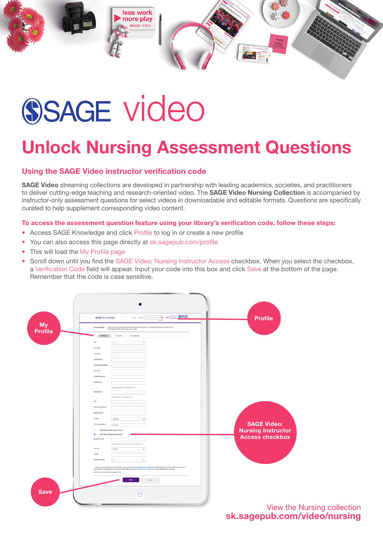

## **SSAGE video**

## Unlock Nursing Assessment Questions

## Using the SAGE Video instructor verification code

SAGE Video streaming collections are developed in partnership with leading academics, societies, and practitioners to deliver cutting-edge teaching and research-oriented video. The SAGE Video Nursing Collection is accompanied by instructor-only assessment questions for select videos in downloadable and editable formats. Questions are specifically curated to help supplement corresponding video content.

To access the assessment question feature using your library's verification code, follow these steps:

- Access SAGE Knowledge and click Profile to log in or create a new profile
- You can also access this page directly at sk.sagepub.com/profile
- This will load the My Profile page
- Scroll down until you find the SAGE Video: Nursing Instructor Access checkbox. When you select the checkbox, a Verification Code field will appear. Input your code into this box and click Save at the bottom of the page. Remember that the code is case sensitive.



View the Nursing collection sk.sagepub.com/video/nursing